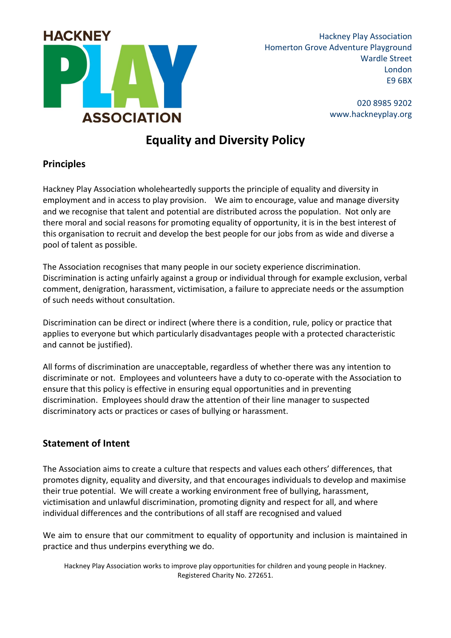

Hackney Play Association Homerton Grove Adventure Playground Wardle Street London E9 6BX

> 020 8985 9202 www.hackneyplay.org

# **Equality and Diversity Policy**

## **Principles**

Hackney Play Association wholeheartedly supports the principle of equality and diversity in employment and in access to play provision. We aim to encourage, value and manage diversity and we recognise that talent and potential are distributed across the population. Not only are there moral and social reasons for promoting equality of opportunity, it is in the best interest of this organisation to recruit and develop the best people for our jobs from as wide and diverse a pool of talent as possible.

The Association recognises that many people in our society experience discrimination. Discrimination is acting unfairly against a group or individual through for example exclusion, verbal comment, denigration, harassment, victimisation, a failure to appreciate needs or the assumption of such needs without consultation.

Discrimination can be direct or indirect (where there is a condition, rule, policy or practice that applies to everyone but which particularly disadvantages people with a protected characteristic and cannot be justified).

All forms of discrimination are unacceptable, regardless of whether there was any intention to discriminate or not. Employees and volunteers have a duty to co-operate with the Association to ensure that this policy is effective in ensuring equal opportunities and in preventing discrimination. Employees should draw the attention of their line manager to suspected discriminatory acts or practices or cases of bullying or harassment.

#### **Statement of Intent**

The Association aims to create a culture that respects and values each others' differences, that promotes dignity, equality and diversity, and that encourages individuals to develop and maximise their true potential. We will create a working environment free of bullying, harassment, victimisation and unlawful discrimination, promoting dignity and respect for all, and where individual differences and the contributions of all staff are recognised and valued

We aim to ensure that our commitment to equality of opportunity and inclusion is maintained in practice and thus underpins everything we do.

Hackney Play Association works to improve play opportunities for children and young people in Hackney. Registered Charity No. 272651.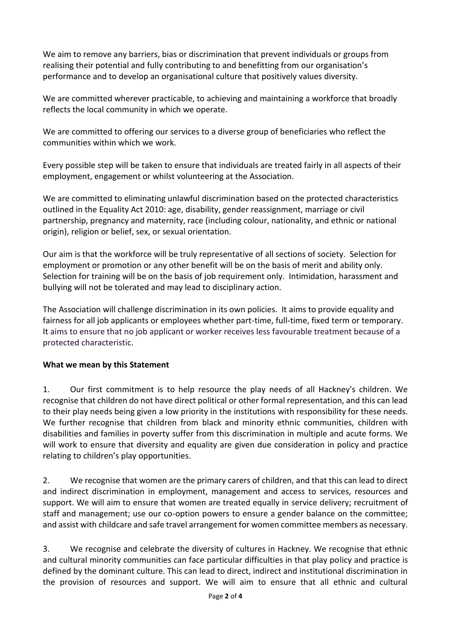We aim to remove any barriers, bias or discrimination that prevent individuals or groups from realising their potential and fully contributing to and benefitting from our organisation's performance and to develop an organisational culture that positively values diversity.

We are committed wherever practicable, to achieving and maintaining a workforce that broadly reflects the local community in which we operate.

We are committed to offering our services to a diverse group of beneficiaries who reflect the communities within which we work.

Every possible step will be taken to ensure that individuals are treated fairly in all aspects of their employment, engagement or whilst volunteering at the Association.

We are committed to eliminating unlawful discrimination based on the protected characteristics outlined in the Equality Act 2010: age, disability, gender reassignment, marriage or civil partnership, pregnancy and maternity, race (including colour, nationality, and ethnic or national origin), religion or belief, sex, or sexual orientation.

Our aim is that the workforce will be truly representative of all sections of society. Selection for employment or promotion or any other benefit will be on the basis of merit and ability only. Selection for training will be on the basis of job requirement only. Intimidation, harassment and bullying will not be tolerated and may lead to disciplinary action.

The Association will challenge discrimination in its own policies. It aims to provide equality and fairness for all job applicants or employees whether part-time, full-time, fixed term or temporary. It aims to ensure that no job applicant or worker receives less favourable treatment because of a protected characteristic.

#### **What we mean by this Statement**

1. Our first commitment is to help resource the play needs of all Hackney's children. We recognise that children do not have direct political or other formal representation, and this can lead to their play needs being given a low priority in the institutions with responsibility for these needs. We further recognise that children from black and minority ethnic communities, children with disabilities and families in poverty suffer from this discrimination in multiple and acute forms. We will work to ensure that diversity and equality are given due consideration in policy and practice relating to children's play opportunities.

2. We recognise that women are the primary carers of children, and that this can lead to direct and indirect discrimination in employment, management and access to services, resources and support. We will aim to ensure that women are treated equally in service delivery; recruitment of staff and management; use our co-option powers to ensure a gender balance on the committee; and assist with childcare and safe travel arrangement for women committee members as necessary.

3. We recognise and celebrate the diversity of cultures in Hackney. We recognise that ethnic and cultural minority communities can face particular difficulties in that play policy and practice is defined by the dominant culture. This can lead to direct, indirect and institutional discrimination in the provision of resources and support. We will aim to ensure that all ethnic and cultural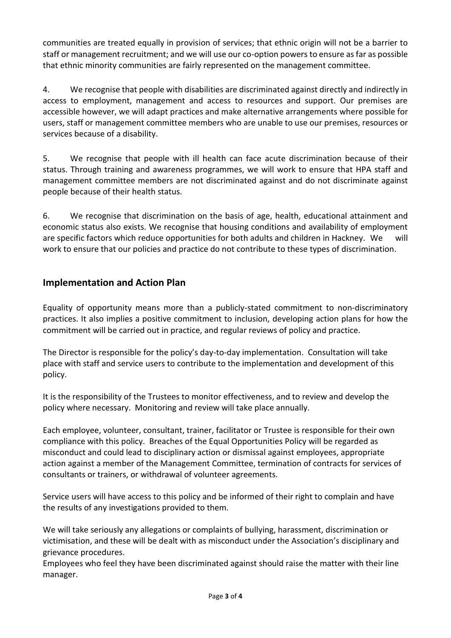communities are treated equally in provision of services; that ethnic origin will not be a barrier to staff or management recruitment; and we will use our co-option powers to ensure as far as possible that ethnic minority communities are fairly represented on the management committee.

4. We recognise that people with disabilities are discriminated against directly and indirectly in access to employment, management and access to resources and support. Our premises are accessible however, we will adapt practices and make alternative arrangements where possible for users, staff or management committee members who are unable to use our premises, resources or services because of a disability.

5. We recognise that people with ill health can face acute discrimination because of their status. Through training and awareness programmes, we will work to ensure that HPA staff and management committee members are not discriminated against and do not discriminate against people because of their health status.

6. We recognise that discrimination on the basis of age, health, educational attainment and economic status also exists. We recognise that housing conditions and availability of employment are specific factors which reduce opportunities for both adults and children in Hackney.We will work to ensure that our policies and practice do not contribute to these types of discrimination.

## **Implementation and Action Plan**

Equality of opportunity means more than a publicly-stated commitment to non-discriminatory practices. It also implies a positive commitment to inclusion, developing action plans for how the commitment will be carried out in practice, and regular reviews of policy and practice.

The Director is responsible for the policy's day-to-day implementation. Consultation will take place with staff and service users to contribute to the implementation and development of this policy.

It is the responsibility of the Trustees to monitor effectiveness, and to review and develop the policy where necessary. Monitoring and review will take place annually.

Each employee, volunteer, consultant, trainer, facilitator or Trustee is responsible for their own compliance with this policy. Breaches of the Equal Opportunities Policy will be regarded as misconduct and could lead to disciplinary action or dismissal against employees, appropriate action against a member of the Management Committee, termination of contracts for services of consultants or trainers, or withdrawal of volunteer agreements.

Service users will have access to this policy and be informed of their right to complain and have the results of any investigations provided to them.

We will take seriously any allegations or complaints of bullying, harassment, discrimination or victimisation, and these will be dealt with as misconduct under the Association's disciplinary and grievance procedures.

Employees who feel they have been discriminated against should raise the matter with their line manager.